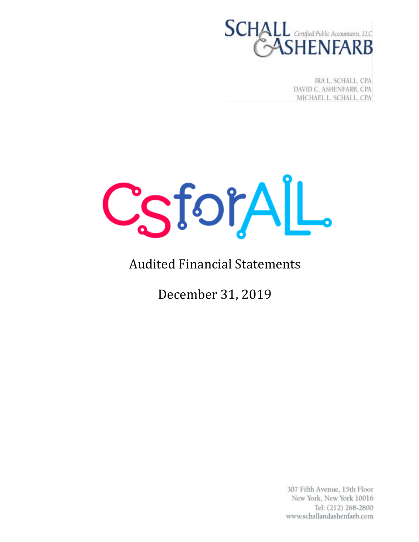

IRA L. SCHALL, CPA DAVID C. ASHENFARB, CPA MICHAEL L. SCHALL, CPA



# Audited Financial Statements

December 31, 2019

307 Fifth Avenue, 15th Floor New York, New York 10016 Tel: (212) 268-2800 www.schallandashenfarb.com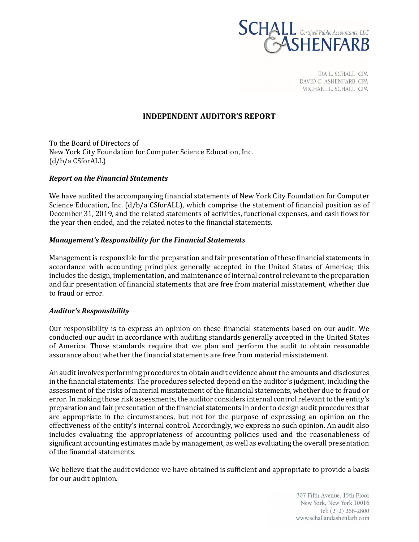

IRA L. SCHALL, CPA DAVID C. ASHENFARB, CPA MICHAEL L. SCHALL, CPA

# **INDEPENDENT AUDITOR'S REPORT**

To the Board of Directors of New York City Foundation for Computer Science Education, Inc. (d/b/a CSforALL)

# *Report on the Financial Statements*

We have audited the accompanying financial statements of New York City Foundation for Computer Science Education, Inc. (d/b/a CSforALL), which comprise the statement of financial position as of December 31, 2019, and the related statements of activities, functional expenses, and cash flows for the year then ended, and the related notes to the financial statements.

# *Management's Responsibility for the Financial Statements*

Management is responsible for the preparation and fair presentation of these financial statements in accordance with accounting principles generally accepted in the United States of America; this includes the design, implementation, and maintenance of internal control relevant to the preparation and fair presentation of financial statements that are free from material misstatement, whether due to fraud or error.

# *Auditor's Responsibility*

Our responsibility is to express an opinion on these financial statements based on our audit. We conducted our audit in accordance with auditing standards generally accepted in the United States of America. Those standards require that we plan and perform the audit to obtain reasonable assurance about whether the financial statements are free from material misstatement.

An audit involves performing procedures to obtain audit evidence about the amounts and disclosures in the financial statements. The procedures selected depend on the auditor's judgment, including the assessment of the risks of material misstatement of the financial statements, whether due to fraud or error. In making those risk assessments, the auditor considers internal control relevant to the entity's preparation and fair presentation of the financial statements in order to design audit procedures that are appropriate in the circumstances, but not for the purpose of expressing an opinion on the effectiveness of the entity's internal control. Accordingly, we express no such opinion. An audit also includes evaluating the appropriateness of accounting policies used and the reasonableness of significant accounting estimates made by management, as well as evaluating the overall presentation of the financial statements.

We believe that the audit evidence we have obtained is sufficient and appropriate to provide a basis for our audit opinion.

> 307 Fifth Avenue, 15th Floor New York, New York 10016 Tel: (212) 268-2800 www.schallandashenfarb.com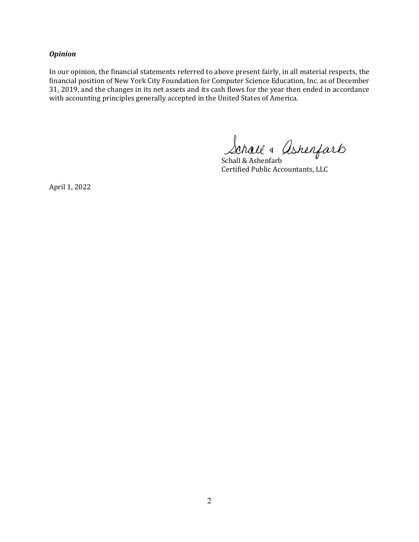# *Opinion*

In our opinion, the financial statements referred to above present fairly, in all material respects, the financial position of New York City Foundation for Computer Science Education, Inc. as of December 31, 2019, and the changes in its net assets and its cash flows for the year then ended in accordance with accounting principles generally accepted in the United States of America.

Schall & Ashenfarb

Certified Public Accountants, LLC

April 1, 2022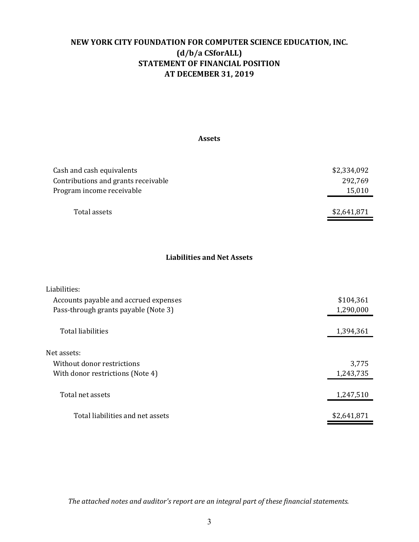# **NEW YORK CITY FOUNDATION FOR COMPUTER SCIENCE EDUCATION, INC. (d/b/a CSforALL) STATEMENT OF FINANCIAL POSITION AT DECEMBER 31, 2019**

#### **Assets**

| Cash and cash equivalents           | \$2,334,092 |
|-------------------------------------|-------------|
| Contributions and grants receivable | 292,769     |
| Program income receivable           | 15,010      |
|                                     |             |
| Total assets                        | \$2,641,871 |

# **Liabilities and Net Assets**

| Liabilities:                          |             |
|---------------------------------------|-------------|
| Accounts payable and accrued expenses | \$104,361   |
| Pass-through grants payable (Note 3)  | 1,290,000   |
|                                       |             |
| Total liabilities                     | 1,394,361   |
|                                       |             |
| Net assets:                           |             |
| Without donor restrictions            | 3,775       |
| With donor restrictions (Note 4)      | 1,243,735   |
|                                       |             |
| Total net assets                      | 1,247,510   |
|                                       |             |
| Total liabilities and net assets      | \$2,641,871 |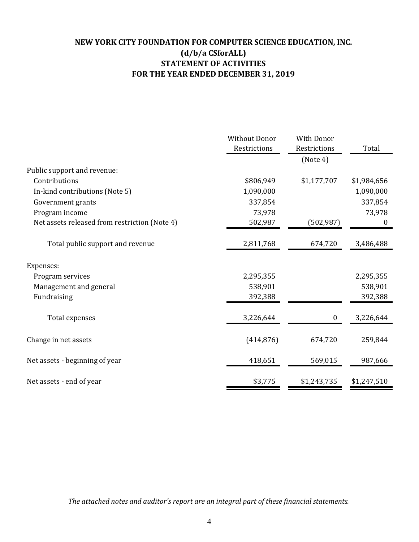# **NEW YORK CITY FOUNDATION FOR COMPUTER SCIENCE EDUCATION, INC. (d/b/a CSforALL) STATEMENT OF ACTIVITIES FOR THE YEAR ENDED DECEMBER 31, 2019**

|                                               | <b>Without Donor</b> | <b>With Donor</b> |                  |
|-----------------------------------------------|----------------------|-------------------|------------------|
|                                               | Restrictions         | Restrictions      | Total            |
|                                               |                      | (Note 4)          |                  |
| Public support and revenue:                   |                      |                   |                  |
| Contributions                                 | \$806,949            | \$1,177,707       | \$1,984,656      |
| In-kind contributions (Note 5)                | 1,090,000            |                   | 1,090,000        |
| Government grants                             | 337,854              |                   | 337,854          |
| Program income                                | 73,978               |                   | 73,978           |
| Net assets released from restriction (Note 4) | 502,987              | (502, 987)        | $\boldsymbol{0}$ |
| Total public support and revenue              | 2,811,768            | 674,720           | 3,486,488        |
| Expenses:                                     |                      |                   |                  |
| Program services                              | 2,295,355            |                   | 2,295,355        |
| Management and general                        | 538,901              |                   | 538,901          |
| Fundraising                                   | 392,388              |                   | 392,388          |
| Total expenses                                | 3,226,644            | $\boldsymbol{0}$  | 3,226,644        |
| Change in net assets                          | (414, 876)           | 674,720           | 259,844          |
| Net assets - beginning of year                | 418,651              | 569,015           | 987,666          |
| Net assets - end of year                      | \$3,775              | \$1,243,735       | \$1,247,510      |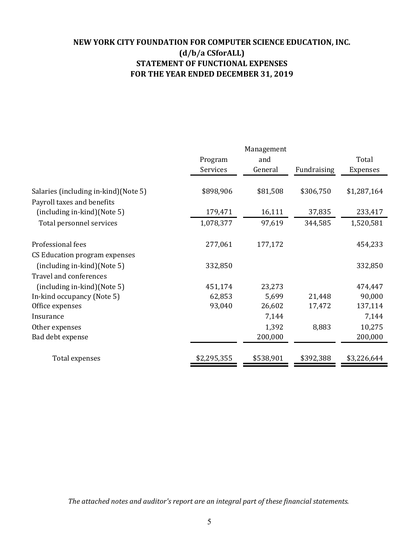# **NEW YORK CITY FOUNDATION FOR COMPUTER SCIENCE EDUCATION, INC. (d/b/a CSforALL) STATEMENT OF FUNCTIONAL EXPENSES FOR THE YEAR ENDED DECEMBER 31, 2019**

|                                      |             | Management |             |             |
|--------------------------------------|-------------|------------|-------------|-------------|
|                                      | Program     | and        |             | Total       |
|                                      | Services    | General    | Fundraising | Expenses    |
|                                      |             |            |             |             |
| Salaries (including in-kind)(Note 5) | \$898,906   | \$81,508   | \$306,750   | \$1,287,164 |
| Payroll taxes and benefits           |             |            |             |             |
| (including in-kind)(Note 5)          | 179,471     | 16,111     | 37,835      | 233,417     |
| Total personnel services             | 1,078,377   | 97,619     | 344,585     | 1,520,581   |
| Professional fees                    | 277,061     | 177,172    |             | 454,233     |
| CS Education program expenses        |             |            |             |             |
| (including in-kind)(Note 5)          | 332,850     |            |             | 332,850     |
| <b>Travel and conferences</b>        |             |            |             |             |
| (including in-kind)(Note 5)          | 451,174     | 23,273     |             | 474,447     |
| In-kind occupancy (Note 5)           | 62,853      | 5,699      | 21,448      | 90,000      |
| Office expenses                      | 93,040      | 26,602     | 17,472      | 137,114     |
| Insurance                            |             | 7,144      |             | 7,144       |
| Other expenses                       |             | 1,392      | 8,883       | 10,275      |
| Bad debt expense                     |             | 200,000    |             | 200,000     |
| Total expenses                       | \$2,295,355 | \$538,901  | \$392,388   | \$3,226,644 |
|                                      |             |            |             |             |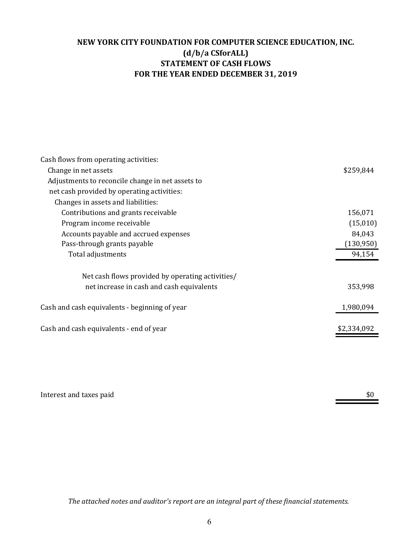# **NEW YORK CITY FOUNDATION FOR COMPUTER SCIENCE EDUCATION, INC. (d/b/a CSforALL) STATEMENT OF CASH FLOWS FOR THE YEAR ENDED DECEMBER 31, 2019**

| Cash flows from operating activities:            |             |
|--------------------------------------------------|-------------|
| Change in net assets                             | \$259,844   |
| Adjustments to reconcile change in net assets to |             |
| net cash provided by operating activities:       |             |
| Changes in assets and liabilities:               |             |
| Contributions and grants receivable              | 156,071     |
| Program income receivable                        | (15,010)    |
| Accounts payable and accrued expenses            | 84,043      |
| Pass-through grants payable                      | (130, 950)  |
| Total adjustments                                | 94,154      |
| Net cash flows provided by operating activities/ |             |
| net increase in cash and cash equivalents        | 353,998     |
| Cash and cash equivalents - beginning of year    | 1,980,094   |
| Cash and cash equivalents - end of year          | \$2,334,092 |

| Interest and taxes paid | ъU |
|-------------------------|----|
|                         |    |
|                         |    |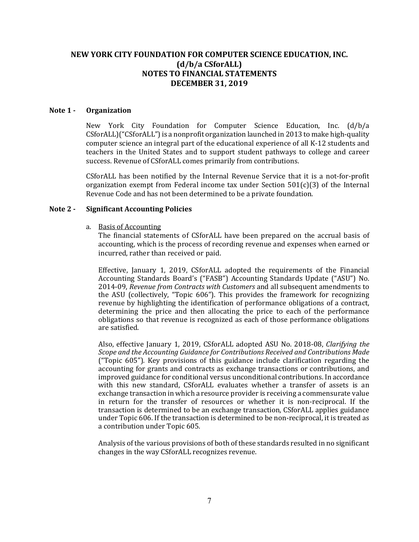# **NEW YORK CITY FOUNDATION FOR COMPUTER SCIENCE EDUCATION, INC. (d/b/a CSforALL) NOTES TO FINANCIAL STATEMENTS DECEMBER 31, 2019**

#### **Note 1 ‐ Organization**

New York City Foundation for Computer Science Education, Inc. (d/b/a CSforALL)("CSforALL") is a nonprofit organization launched in 2013 to make high-quality computer science an integral part of the educational experience of all K-12 students and teachers in the United States and to support student pathways to college and career success. Revenue of CSforALL comes primarily from contributions.

CSforALL has been notified by the Internal Revenue Service that it is a not-for-profit organization exempt from Federal income tax under Section  $501(c)(3)$  of the Internal Revenue Code and has not been determined to be a private foundation.

# **Note 2 ‐ Significant Accounting Policies**

#### a. Basis of Accounting

The financial statements of CSforALL have been prepared on the accrual basis of accounting, which is the process of recording revenue and expenses when earned or incurred, rather than received or paid.

Effective, January 1, 2019, CSforALL adopted the requirements of the Financial Accounting Standards Board's ("FASB") Accounting Standards Update ("ASU") No. 2014-09, *Revenue from Contracts with Customers* and all subsequent amendments to the ASU (collectively, "Topic 606"). This provides the framework for recognizing revenue by highlighting the identification of performance obligations of a contract, determining the price and then allocating the price to each of the performance obligations so that revenue is recognized as each of those performance obligations are satisfied.

Also, effective January 1, 2019, CSforALL adopted ASU No. 2018-08, *Clarifying the Scope and the Accounting Guidance for Contributions Received and Contributions Made* ("Topic 605")*.* Key provisions of this guidance include clarification regarding the accounting for grants and contracts as exchange transactions or contributions, and improved guidance for conditional versus unconditional contributions. In accordance with this new standard, CSforALL evaluates whether a transfer of assets is an exchange transaction in which a resource provider is receiving a commensurate value in return for the transfer of resources or whether it is non-reciprocal. If the transaction is determined to be an exchange transaction, CSforALL applies guidance under Topic 606. If the transaction is determined to be non-reciprocal, it is treated as a contribution under Topic 605*.*

Analysis of the various provisions of both of these standards resulted in no significant changes in the way CSforALL recognizes revenue.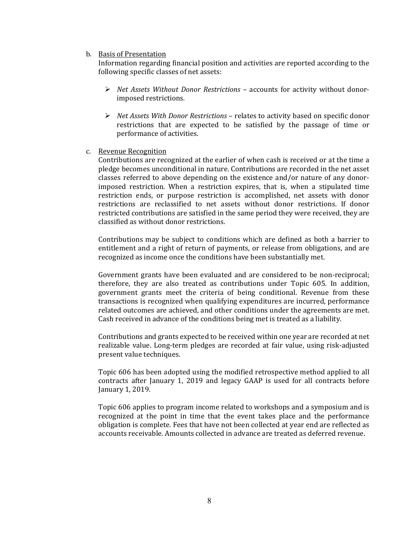#### b. Basis of Presentation

Information regarding financial position and activities are reported according to the following specific classes of net assets:

- *Net Assets Without Donor Restrictions* accounts for activity without donorimposed restrictions.
- *Net Assets With Donor Restrictions* relates to activity based on specific donor restrictions that are expected to be satisfied by the passage of time or performance of activities.
- c. Revenue Recognition

Contributions are recognized at the earlier of when cash is received or at the time a pledge becomes unconditional in nature. Contributions are recorded in the net asset classes referred to above depending on the existence and/or nature of any donorimposed restriction. When a restriction expires, that is, when a stipulated time restriction ends, or purpose restriction is accomplished, net assets with donor restrictions are reclassified to net assets without donor restrictions. If donor restricted contributions are satisfied in the same period they were received, they are classified as without donor restrictions.

Contributions may be subject to conditions which are defined as both a barrier to entitlement and a right of return of payments, or release from obligations, and are recognized as income once the conditions have been substantially met.

Government grants have been evaluated and are considered to be non-reciprocal; therefore, they are also treated as contributions under Topic 605. In addition, government grants meet the criteria of being conditional. Revenue from these transactions is recognized when qualifying expenditures are incurred, performance related outcomes are achieved, and other conditions under the agreements are met. Cash received in advance of the conditions being met is treated as a liability.

Contributions and grants expected to be received within one year are recorded at net realizable value. Long-term pledges are recorded at fair value, using risk-adjusted present value techniques.

Topic 606 has been adopted using the modified retrospective method applied to all contracts after January 1, 2019 and legacy GAAP is used for all contracts before January 1, 2019.

Topic 606 applies to program income related to workshops and a symposium and is recognized at the point in time that the event takes place and the performance obligation is complete. Fees that have not been collected at year end are reflected as accounts receivable. Amounts collected in advance are treated as deferred revenue.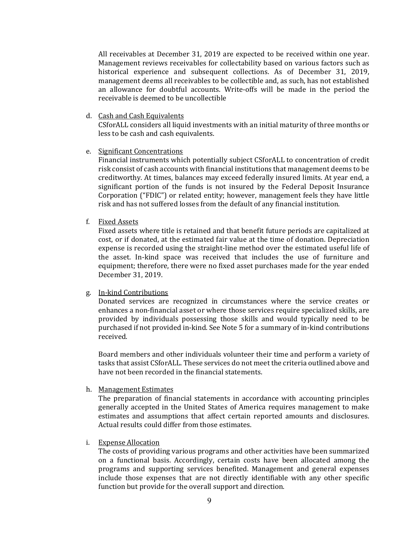All receivables at December 31, 2019 are expected to be received within one year. Management reviews receivables for collectability based on various factors such as historical experience and subsequent collections. As of December 31, 2019, management deems all receivables to be collectible and, as such, has not established an allowance for doubtful accounts. Write-offs will be made in the period the receivable is deemed to be uncollectible

d. Cash and Cash Equivalents

CSforALL considers all liquid investments with an initial maturity of three months or less to be cash and cash equivalents.

e. Significant Concentrations

Financial instruments which potentially subject CSforALL to concentration of credit risk consist of cash accounts with financial institutions that management deems to be creditworthy. At times, balances may exceed federally insured limits. At year end, a significant portion of the funds is not insured by the Federal Deposit Insurance Corporation ("FDIC") or related entity; however, management feels they have little risk and has not suffered losses from the default of any financial institution.

f. Fixed Assets

Fixed assets where title is retained and that benefit future periods are capitalized at cost, or if donated, at the estimated fair value at the time of donation. Depreciation expense is recorded using the straight-line method over the estimated useful life of the asset. In-kind space was received that includes the use of furniture and equipment; therefore, there were no fixed asset purchases made for the year ended December 31, 2019.

# g. In-kind Contributions

Donated services are recognized in circumstances where the service creates or enhances a non-financial asset or where those services require specialized skills, are provided by individuals possessing those skills and would typically need to be purchased if not provided in-kind. See Note 5 for a summary of in-kind contributions received.

Board members and other individuals volunteer their time and perform a variety of tasks that assist CSforALL. These services do not meet the criteria outlined above and have not been recorded in the financial statements.

h. Management Estimates

The preparation of financial statements in accordance with accounting principles generally accepted in the United States of America requires management to make estimates and assumptions that affect certain reported amounts and disclosures. Actual results could differ from those estimates.

i. Expense Allocation

The costs of providing various programs and other activities have been summarized on a functional basis. Accordingly, certain costs have been allocated among the programs and supporting services benefited. Management and general expenses include those expenses that are not directly identifiable with any other specific function but provide for the overall support and direction.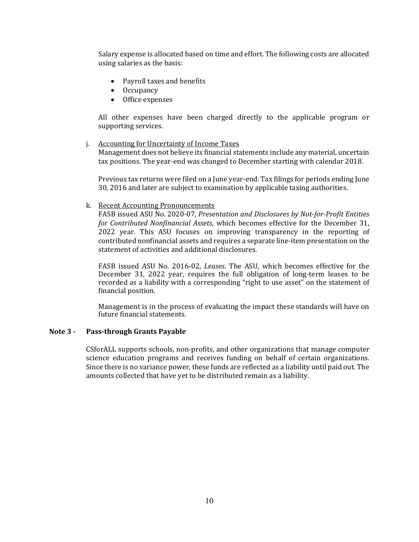Salary expense is allocated based on time and effort. The following costs are allocated using salaries as the basis:

- Payroll taxes and benefits
- Occupancy
- Office expenses

All other expenses have been charged directly to the applicable program or supporting services.

#### j. Accounting for Uncertainty of Income Taxes

Management does not believe its financial statements include any material, uncertain tax positions. The year-end was changed to December starting with calendar 2018.

Previous tax returns were filed on a June year-end. Tax filings for periods ending June 30, 2016 and later are subject to examination by applicable taxing authorities.

k. Recent Accounting Pronouncements

FASB issued ASU No. 2020-07, *Presentation and Disclosures by Not‐for‐Profit Entities for Contributed Nonfinancial Assets*, which becomes effective for the December 31, 2022 year. This ASU focuses on improving transparency in the reporting of contributed nonfinancial assets and requires a separate line-item presentation on the statement of activities and additional disclosures.

FASB issued ASU No. 2016-02, *Leases*. The ASU, which becomes effective for the December 31, 2022 year, requires the full obligation of long-term leases to be recorded as a liability with a corresponding "right to use asset" on the statement of financial position.

Management is in the process of evaluating the impact these standards will have on future financial statements.

## **Note 3 ‐ Pass‐through Grants Payable**

CSforALL supports schools, non-profits, and other organizations that manage computer science education programs and receives funding on behalf of certain organizations. Since there is no variance power, these funds are reflected as a liability until paid out. The amounts collected that have yet to be distributed remain as a liability.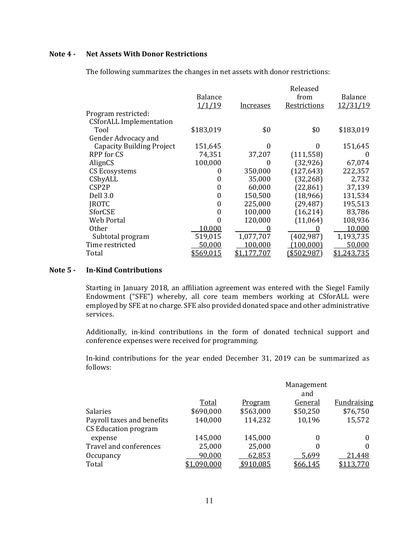# **Note 4 ‐ Net Assets With Donor Restrictions**

The following summarizes the changes in net assets with donor restrictions:

|                  |             | Released     |                |
|------------------|-------------|--------------|----------------|
| <b>Balance</b>   |             | from         | <b>Balance</b> |
| 1/1/19           | Increases   | Restrictions | 12/31/19       |
|                  |             |              |                |
|                  |             |              |                |
| \$183,019        | \$0         | \$0          | \$183,019      |
|                  |             |              |                |
| 151,645          | 0           | $\theta$     | 151,645        |
| 74,351           | 37,207      | (111, 558)   |                |
| 100,000          | $\Omega$    | (32, 926)    | 67,074         |
| O                | 350,000     | (127, 643)   | 222,357        |
| 0                | 35,000      | (32, 268)    | 2,732          |
| 0                | 60,000      | (22, 861)    | 37,139         |
| 0                | 150,500     | (18, 966)    | 131,534        |
| 0                | 225,000     | (29, 487)    | 195,513        |
| 0                | 100,000     | (16, 214)    | 83,786         |
| 0                | 120,000     | (11,064)     | 108,936        |
| 10,000           | $\Omega$    | 0            | 10,000         |
| 519,015          | 1,077,707   | (402, 987)   | 1,193,735      |
| 50,000           | 100,000     | (100, 000)   | 50,000         |
| <u>\$569,015</u> | \$1,177,707 | (\$502,987)  | \$1,243,735    |
|                  |             |              |                |

## **Note 5 ‐ In‐Kind Contributions**

Starting in January 2018, an affiliation agreement was entered with the Siegel Family Endowment ("SFE") whereby, all core team members working at CSforALL were employed by SFE at no charge. SFE also provided donated space and other administrative services.

Additionally, in-kind contributions in the form of donated technical support and conference expenses were received for programming.

In-kind contributions for the year ended December 31, 2019 can be summarized as follows:

|                            |           |           | Management |                    |
|----------------------------|-----------|-----------|------------|--------------------|
|                            |           |           | and        |                    |
|                            | Total     | Program   | General    | <b>Fundraising</b> |
| Salaries                   | \$690,000 | \$563,000 | \$50,250   | \$76,750           |
| Payroll taxes and benefits | 140,000   | 114,232   | 10,196     | 15,572             |
| CS Education program       |           |           |            |                    |
| expense                    | 145,000   | 145,000   | 0          |                    |
| Travel and conferences     | 25,000    | 25,000    | 0          |                    |
| Occupancy                  | 90,000    | 62,853    | 5,699      | 21,448             |
| Total                      | ,090,000  | \$910,085 | \$66,145   | \$113,770          |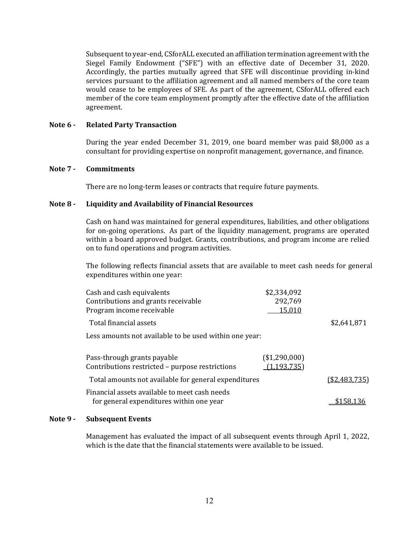Subsequent to year-end, CSforALL executed an affiliation termination agreement with the Siegel Family Endowment ("SFE") with an effective date of December 31, 2020. Accordingly, the parties mutually agreed that SFE will discontinue providing in-kind services pursuant to the affiliation agreement and all named members of the core team would cease to be employees of SFE. As part of the agreement, CSforALL offered each member of the core team employment promptly after the effective date of the affiliation agreement.

#### **Note 6 ‐ Related Party Transaction**

During the year ended December 31, 2019, one board member was paid \$8,000 as a consultant for providing expertise on nonprofit management, governance, and finance.

#### **Note 7 ‐ Commitments**

There are no long-term leases or contracts that require future payments.

#### **Note 8 ‐ Liquidity and Availability of Financial Resources**

Cash on hand was maintained for general expenditures, liabilities, and other obligations for on-going operations. As part of the liquidity management, programs are operated within a board approved budget. Grants, contributions, and program income are relied on to fund operations and program activities.

The following reflects financial assets that are available to meet cash needs for general expenditures within one year:

| Cash and cash equivalents<br>Contributions and grants receivable<br>Program income receivable | \$2,334,092<br>292,769<br>15,010 |                      |
|-----------------------------------------------------------------------------------------------|----------------------------------|----------------------|
| Total financial assets                                                                        |                                  | \$2,641,871          |
| Less amounts not available to be used within one year:                                        |                                  |                      |
| Pass-through grants payable<br>Contributions restricted - purpose restrictions                | (\$1,290,000)<br>(1, 193, 735)   |                      |
| Total amounts not available for general expenditures                                          |                                  | <u>(\$2,483,735)</u> |
| Financial assets available to meet cash needs<br>for general expenditures within one year     |                                  | \$158.136            |

#### **Note 9 ‐ Subsequent Events**

Management has evaluated the impact of all subsequent events through April 1, 2022, which is the date that the financial statements were available to be issued.